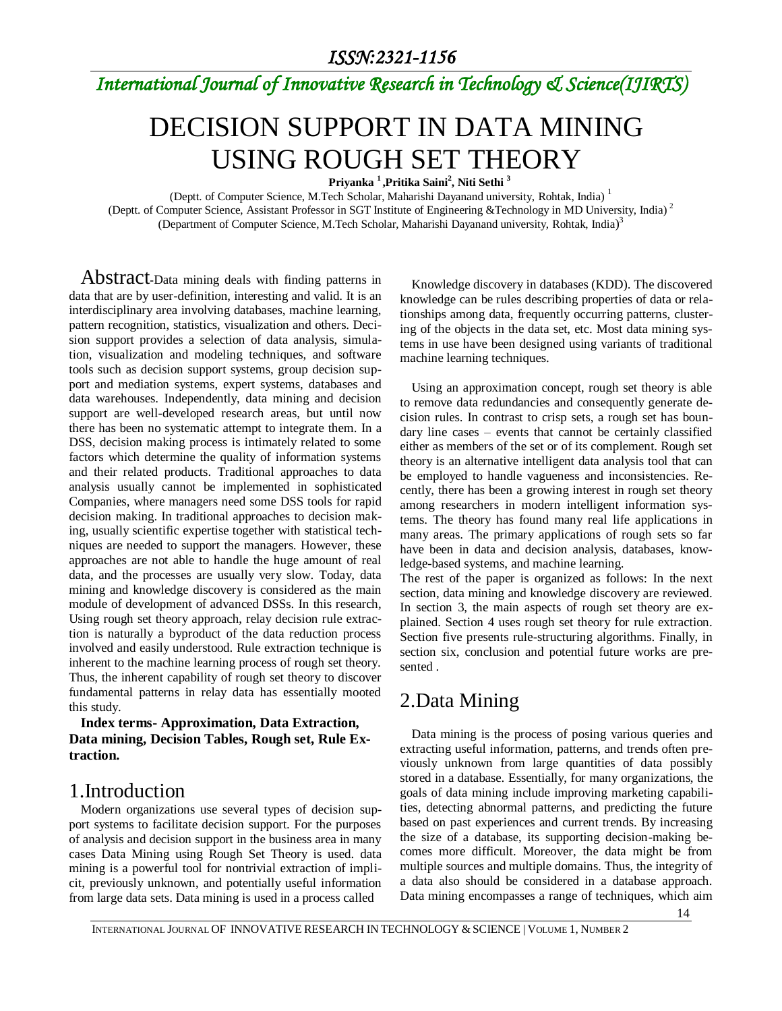*International Journal of Innovative Research in Technology & Science(IJIRTS)*

# DECISION SUPPORT IN DATA MINING USING ROUGH SET THEORY

**Priyanka <sup>1</sup>,Pritika Saini<sup>2</sup> , Niti Sethi <sup>3</sup>**

(Deptt. of Computer Science, M.Tech Scholar, Maharishi Dayanand university, Rohtak, India)<sup>1</sup> (Deptt. of Computer Science, Assistant Professor in SGT Institute of Engineering &Technology in MD University, India)<sup>2</sup>

(Department of Computer Science, M.Tech Scholar, Maharishi Dayanand university, Rohtak, India)<sup>3</sup>

Abstract**-**Data mining deals with finding patterns in data that are by user-definition, interesting and valid. It is an interdisciplinary area involving databases, machine learning, pattern recognition, statistics, visualization and others. Decision support provides a selection of data analysis, simulation, visualization and modeling techniques, and software tools such as decision support systems, group decision support and mediation systems, expert systems, databases and data warehouses. Independently, data mining and decision support are well-developed research areas, but until now there has been no systematic attempt to integrate them. In a DSS, decision making process is intimately related to some factors which determine the quality of information systems and their related products. Traditional approaches to data analysis usually cannot be implemented in sophisticated Companies, where managers need some DSS tools for rapid decision making. In traditional approaches to decision making, usually scientific expertise together with statistical techniques are needed to support the managers. However, these approaches are not able to handle the huge amount of real data, and the processes are usually very slow. Today, data mining and knowledge discovery is considered as the main module of development of advanced DSSs. In this research, Using rough set theory approach, relay decision rule extraction is naturally a byproduct of the data reduction process involved and easily understood. Rule extraction technique is inherent to the machine learning process of rough set theory. Thus, the inherent capability of rough set theory to discover fundamental patterns in relay data has essentially mooted this study.

### **Index terms- Approximation, Data Extraction, Data mining, Decision Tables, Rough set, Rule Extraction.**

## 1.Introduction

Modern organizations use several types of decision support systems to facilitate decision support. For the purposes of analysis and decision support in the business area in many cases Data Mining using Rough Set Theory is used. data mining is a powerful tool for nontrivial extraction of implicit, previously unknown, and potentially useful information from large data sets. Data mining is used in a process called

Knowledge discovery in databases (KDD). The discovered knowledge can be rules describing properties of data or relationships among data, frequently occurring patterns, clustering of the objects in the data set, etc. Most data mining systems in use have been designed using variants of traditional machine learning techniques.

Using an approximation concept, rough set theory is able to remove data redundancies and consequently generate decision rules. In contrast to crisp sets, a rough set has boundary line cases – events that cannot be certainly classified either as members of the set or of its complement. Rough set theory is an alternative intelligent data analysis tool that can be employed to handle vagueness and inconsistencies. Recently, there has been a growing interest in rough set theory among researchers in modern intelligent information systems. The theory has found many real life applications in many areas. The primary applications of rough sets so far have been in data and decision analysis, databases, knowledge-based systems, and machine learning.

The rest of the paper is organized as follows: In the next section, data mining and knowledge discovery are reviewed. In section 3, the main aspects of rough set theory are explained. Section 4 uses rough set theory for rule extraction. Section five presents rule-structuring algorithms. Finally, in section six, conclusion and potential future works are presented .

# 2.Data Mining

Data mining is the process of posing various queries and extracting useful information, patterns, and trends often previously unknown from large quantities of data possibly stored in a database. Essentially, for many organizations, the goals of data mining include improving marketing capabilities, detecting abnormal patterns, and predicting the future based on past experiences and current trends. By increasing the size of a database, its supporting decision-making becomes more difficult. Moreover, the data might be from multiple sources and multiple domains. Thus, the integrity of a data also should be considered in a database approach. Data mining encompasses a range of techniques, which aim

14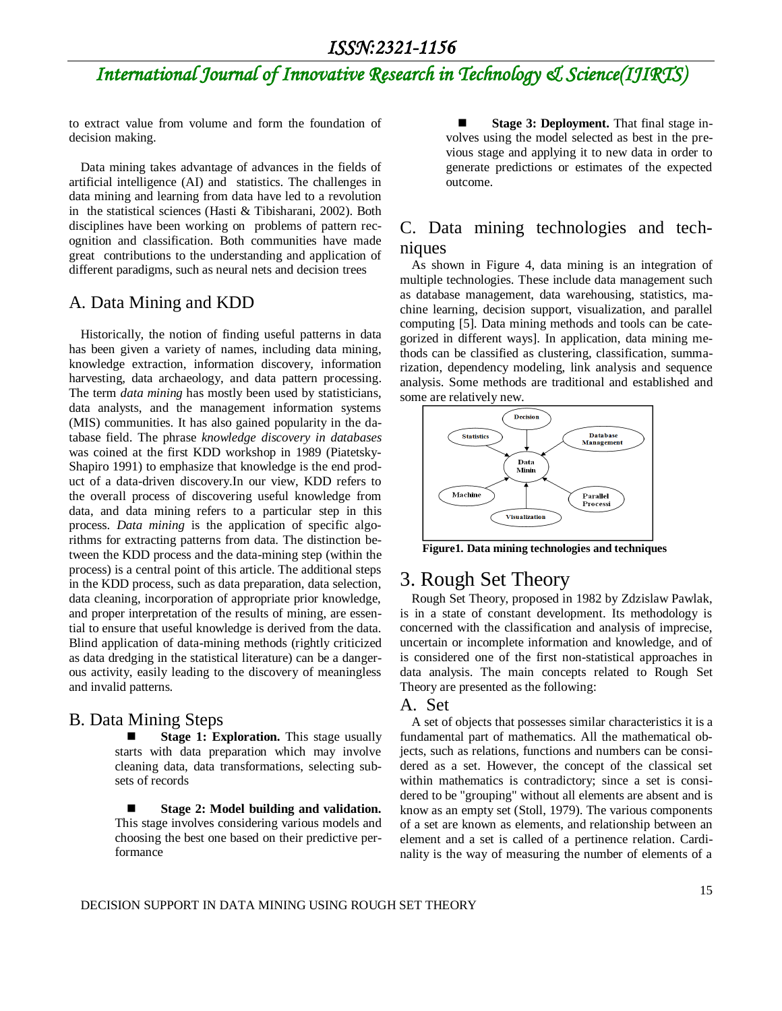# *International Journal of Innovative Research in Technology & Science(IJIRTS)*

to extract value from volume and form the foundation of decision making.

Data mining takes advantage of advances in the fields of artificial intelligence (AI) and statistics. The challenges in data mining and learning from data have led to a revolution in the statistical sciences (Hasti & Tibisharani, 2002). Both disciplines have been working on problems of pattern recognition and classification. Both communities have made great contributions to the understanding and application of different paradigms, such as neural nets and decision trees

### A. Data Mining and KDD

Historically, the notion of finding useful patterns in data has been given a variety of names, including data mining, knowledge extraction, information discovery, information harvesting, data archaeology, and data pattern processing. The term *data mining* has mostly been used by statisticians, data analysts, and the management information systems (MIS) communities. It has also gained popularity in the database field. The phrase *knowledge discovery in databases*  was coined at the first KDD workshop in 1989 (Piatetsky-Shapiro 1991) to emphasize that knowledge is the end product of a data-driven discovery.In our view, KDD refers to the overall process of discovering useful knowledge from data, and data mining refers to a particular step in this process. *Data mining* is the application of specific algorithms for extracting patterns from data. The distinction between the KDD process and the data-mining step (within the process) is a central point of this article. The additional steps in the KDD process, such as data preparation, data selection, data cleaning, incorporation of appropriate prior knowledge, and proper interpretation of the results of mining, are essential to ensure that useful knowledge is derived from the data. Blind application of data-mining methods (rightly criticized as data dredging in the statistical literature) can be a dangerous activity, easily leading to the discovery of meaningless and invalid patterns.

#### B. Data Mining Steps

 **Stage 1: Exploration.** This stage usually starts with data preparation which may involve cleaning data, data transformations, selecting subsets of records

■ Stage 2: Model building and validation. This stage involves considering various models and choosing the best one based on their predictive performance

■ Stage 3: Deployment. That final stage involves using the model selected as best in the previous stage and applying it to new data in order to generate predictions or estimates of the expected outcome.

### C. Data mining technologies and techniques

As shown in Figure 4, data mining is an integration of multiple technologies. These include data management such as database management, data warehousing, statistics, machine learning, decision support, visualization, and parallel computing [5]. Data mining methods and tools can be categorized in different ways]. In application, data mining methods can be classified as clustering, classification, summarization, dependency modeling, link analysis and sequence analysis. Some methods are traditional and established and some are relatively new.



**Figure1. Data mining technologies and techniques**

## 3. Rough Set Theory

Rough Set Theory, proposed in 1982 by Zdzislaw Pawlak, is in a state of constant development. Its methodology is concerned with the classification and analysis of imprecise, uncertain or incomplete information and knowledge, and of is considered one of the first non-statistical approaches in data analysis. The main concepts related to Rough Set Theory are presented as the following:

#### A. Set

A set of objects that possesses similar characteristics it is a fundamental part of mathematics. All the mathematical objects, such as relations, functions and numbers can be considered as a set. However, the concept of the classical set within mathematics is contradictory; since a set is considered to be "grouping" without all elements are absent and is know as an empty set (Stoll, 1979). The various components of a set are known as elements, and relationship between an element and a set is called of a pertinence relation. Cardinality is the way of measuring the number of elements of a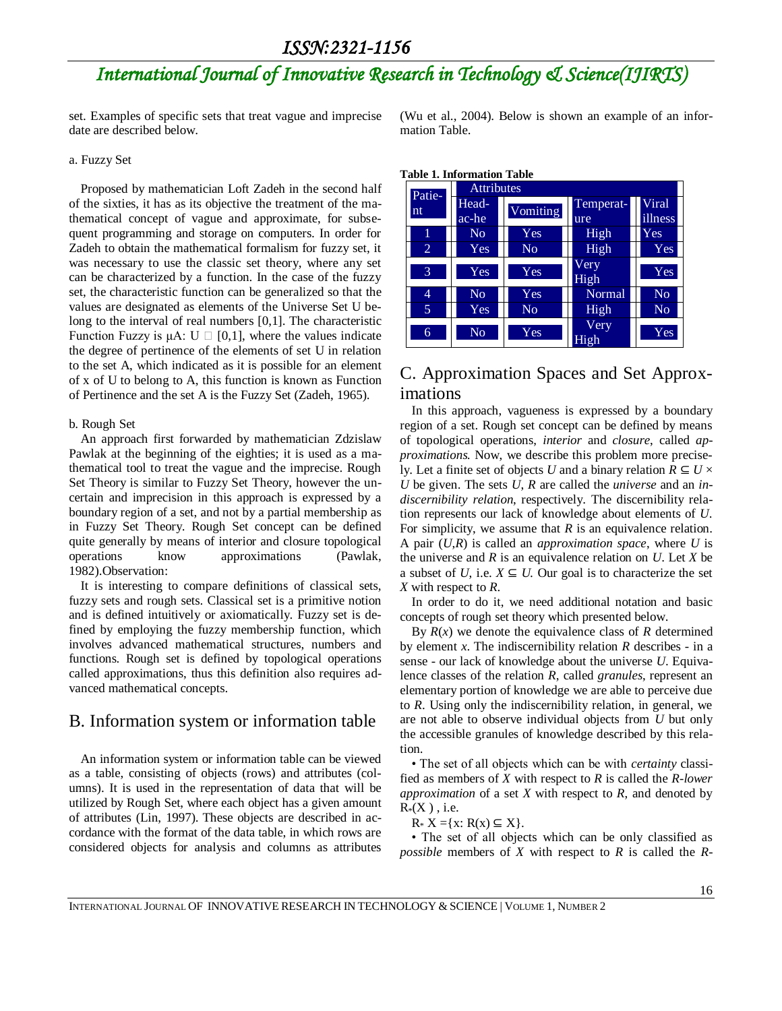# *International Journal of Innovative Research in Technology & Science(IJIRTS)*

set. Examples of specific sets that treat vague and imprecise date are described below.

(Wu et al., 2004). Below is shown an example of an information Table.

#### a. Fuzzy Set

Proposed by mathematician Loft Zadeh in the second half of the sixties, it has as its objective the treatment of the mathematical concept of vague and approximate, for subsequent programming and storage on computers. In order for Zadeh to obtain the mathematical formalism for fuzzy set, it was necessary to use the classic set theory, where any set can be characterized by a function. In the case of the fuzzy set, the characteristic function can be generalized so that the values are designated as elements of the Universe Set U belong to the interval of real numbers [0,1]. The characteristic Function Fuzzy is  $\mu A$ :  $U \square [0,1]$ , where the values indicate the degree of pertinence of the elements of set U in relation to the set A, which indicated as it is possible for an element of x of U to belong to A, this function is known as Function of Pertinence and the set A is the Fuzzy Set (Zadeh, 1965).

#### b. Rough Set

An approach first forwarded by mathematician Zdzislaw Pawlak at the beginning of the eighties; it is used as a mathematical tool to treat the vague and the imprecise. Rough Set Theory is similar to Fuzzy Set Theory, however the uncertain and imprecision in this approach is expressed by a boundary region of a set, and not by a partial membership as in Fuzzy Set Theory. Rough Set concept can be defined quite generally by means of interior and closure topological operations know approximations (Pawlak, 1982).Observation:

It is interesting to compare definitions of classical sets, fuzzy sets and rough sets. Classical set is a primitive notion and is defined intuitively or axiomatically. Fuzzy set is defined by employing the fuzzy membership function, which involves advanced mathematical structures, numbers and functions. Rough set is defined by topological operations called approximations, thus this definition also requires advanced mathematical concepts.

#### B. Information system or information table

An information system or information table can be viewed as a table, consisting of objects (rows) and attributes (columns). It is used in the representation of data that will be utilized by Rough Set, where each object has a given amount of attributes (Lin, 1997). These objects are described in accordance with the format of the data table, in which rows are considered objects for analysis and columns as attributes

| Patie-         | <b>Attributes</b> |          |               |                |
|----------------|-------------------|----------|---------------|----------------|
| nt             | Head-             | Vomiting | Temperat-     | Viral          |
|                | ac-he             |          | ure           | <i>illness</i> |
| 1              | No                | Yes      | High          | Yes            |
| $\overline{2}$ | Yes.              | No       | High          | Yes            |
| 3              | Yes               | Yes      | Very<br>High  | Yes            |
| 4              | No                | Yes      | <b>Normal</b> | N <sub>o</sub> |
| 5              | Yes               | No       | High          | No             |
| 6              | No                | Yes      | Very<br>High  | Yes            |

### C. Approximation Spaces and Set Approximations

In this approach, vagueness is expressed by a boundary region of a set. Rough set concept can be defined by means of topological operations, *interior* and *closure*, called *approximations.* Now, we describe this problem more precisely. Let a finite set of objects *U* and a binary relation  $R ⊆ U \times$ *U* be given. The sets *U*, *R* are called the *universe* and an *indiscernibility relation*, respectively. The discernibility relation represents our lack of knowledge about elements of *U*. For simplicity, we assume that *R* is an equivalence relation. A pair (*U*,*R*) is called an *approximation space*, where *U* is the universe and *R* is an equivalence relation on *U*. Let *X* be a subset of *U*, i.e.  $X \subseteq U$ . Our goal is to characterize the set *X* with respect to *R*.

In order to do it, we need additional notation and basic concepts of rough set theory which presented below.

By *R*(*x*) we denote the equivalence class of *R* determined by element *x*. The indiscernibility relation *R* describes - in a sense - our lack of knowledge about the universe *U*. Equivalence classes of the relation *R*, called *granules*, represent an elementary portion of knowledge we are able to perceive due to *R*. Using only the indiscernibility relation, in general, we are not able to observe individual objects from *U* but only the accessible granules of knowledge described by this relation.

• The set of all objects which can be with *certainty* classified as members of *X* with respect to *R* is called the *R-lower approximation* of a set *X* with respect to *R*, and denoted by  $R*(X)$ , i.e.

 $R^* X = \{x: R(x) \subseteq X\}.$ 

• The set of all objects which can be only classified as *possible* members of *X* with respect to *R* is called the *R-*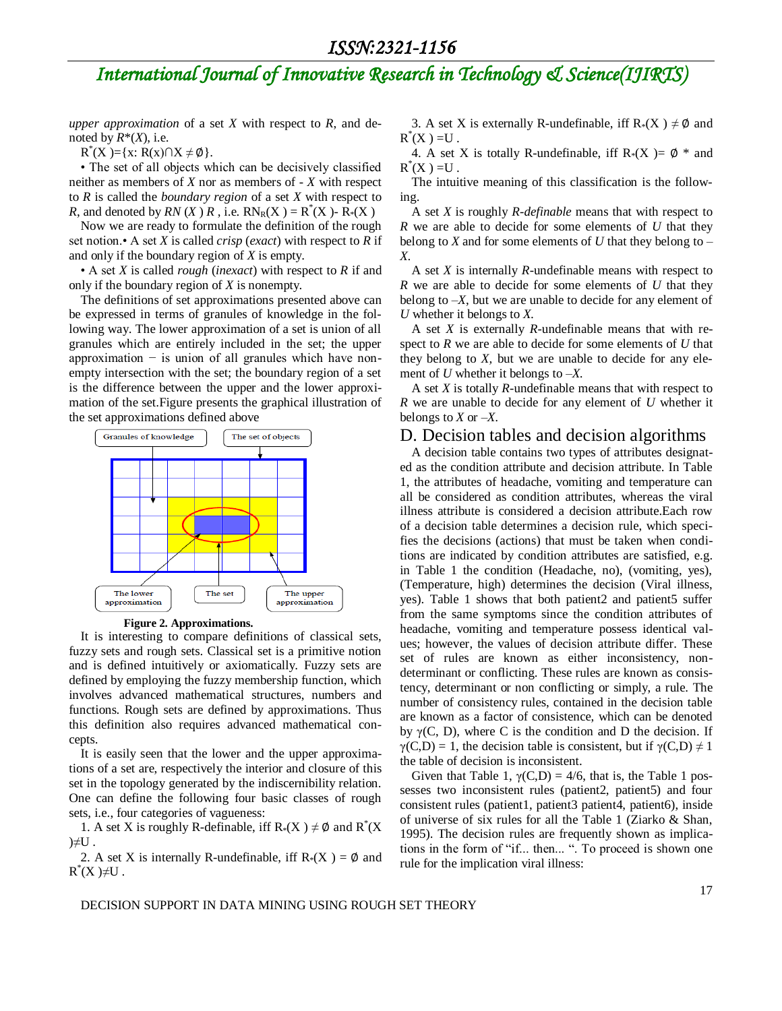# *International Journal of Innovative Research in Technology & Science(IJIRTS)*

*upper approximation* of a set *X* with respect to *R*, and denoted by  $R^*(X)$ , i.e.

 $R^*(X) = \{x: R(x) \cap X \neq \emptyset\}.$ 

• The set of all objects which can be decisively classified neither as members of *X* nor as members of *- X* with respect to *R* is called the *boundary region* of a set *X* with respect to *R*, and denoted by *RN* (*X*) *R*, i.e.  $RN_R(X) = R^*(X) - R^*(X)$ 

Now we are ready to formulate the definition of the rough set notion.• A set *X* is called *crisp* (*exact*) with respect to *R* if and only if the boundary region of *X* is empty.

• A set *X* is called *rough* (*inexact*) with respect to *R* if and only if the boundary region of *X* is nonempty.

The definitions of set approximations presented above can be expressed in terms of granules of knowledge in the following way. The lower approximation of a set is union of all granules which are entirely included in the set; the upper approximation − is union of all granules which have nonempty intersection with the set; the boundary region of a set is the difference between the upper and the lower approximation of the set.Figure presents the graphical illustration of the set approximations defined above



 **Figure 2. Approximations.**

It is interesting to compare definitions of classical sets, fuzzy sets and rough sets. Classical set is a primitive notion and is defined intuitively or axiomatically. Fuzzy sets are defined by employing the fuzzy membership function, which involves advanced mathematical structures, numbers and functions. Rough sets are defined by approximations. Thus this definition also requires advanced mathematical concepts.

It is easily seen that the lower and the upper approximations of a set are, respectively the interior and closure of this set in the topology generated by the indiscernibility relation. One can define the following four basic classes of rough sets, i.e., four categories of vagueness:

1. A set X is roughly R-definable, iff  $R_*(X) \neq \emptyset$  and  $R^*(X)$  $)\neq U$ .

2. A set X is internally R-undefinable, iff  $R*(X) = \emptyset$  and  $R^*(X) \neq U$ .

3. A set X is externally R-undefinable, iff  $R_*(X) \neq \emptyset$  and  $R^*(X) = U$ .

4. A set X is totally R-undefinable, iff  $R_*(X) = \emptyset$  \* and  $R^*(X) = U$ .

The intuitive meaning of this classification is the following.

A set *X* is roughly *R-definable* means that with respect to *R* we are able to decide for some elements of *U* that they belong to *X* and for some elements of *U* that they belong to *– X.*

A set *X* is internally *R-*undefinable means with respect to *R* we are able to decide for some elements of *U* that they belong to *–X*, but we are unable to decide for any element of *U* whether it belongs to *X.*

A set *X* is externally *R-*undefinable means that with respect to *R* we are able to decide for some elements of *U* that they belong to *X,* but we are unable to decide for any element of *U* whether it belongs to *–X.*

A set *X* is totally *R-*undefinable means that with respect to *R* we are unable to decide for any element of *U* whether it belongs to  $X$  or  $-X$ .

#### D. Decision tables and decision algorithms

A decision table contains two types of attributes designated as the condition attribute and decision attribute. In Table 1, the attributes of headache, vomiting and temperature can all be considered as condition attributes, whereas the viral illness attribute is considered a decision attribute.Each row of a decision table determines a decision rule, which specifies the decisions (actions) that must be taken when conditions are indicated by condition attributes are satisfied, e.g. in Table 1 the condition (Headache, no), (vomiting, yes), (Temperature, high) determines the decision (Viral illness, yes). Table 1 shows that both patient2 and patient5 suffer from the same symptoms since the condition attributes of headache, vomiting and temperature possess identical values; however, the values of decision attribute differ. These set of rules are known as either inconsistency, nondeterminant or conflicting. These rules are known as consistency, determinant or non conflicting or simply, a rule. The number of consistency rules, contained in the decision table are known as a factor of consistence, which can be denoted by  $γ(C, D)$ , where C is the condition and D the decision. If  $\gamma(C,D) = 1$ , the decision table is consistent, but if  $\gamma(C,D) \neq 1$ the table of decision is inconsistent.

Given that Table 1,  $\gamma(C,D) = 4/6$ , that is, the Table 1 possesses two inconsistent rules (patient2, patient5) and four consistent rules (patient1, patient3 patient4, patient6), inside of universe of six rules for all the Table 1 (Ziarko & Shan, 1995). The decision rules are frequently shown as implications in the form of "if... then... ". To proceed is shown one rule for the implication viral illness: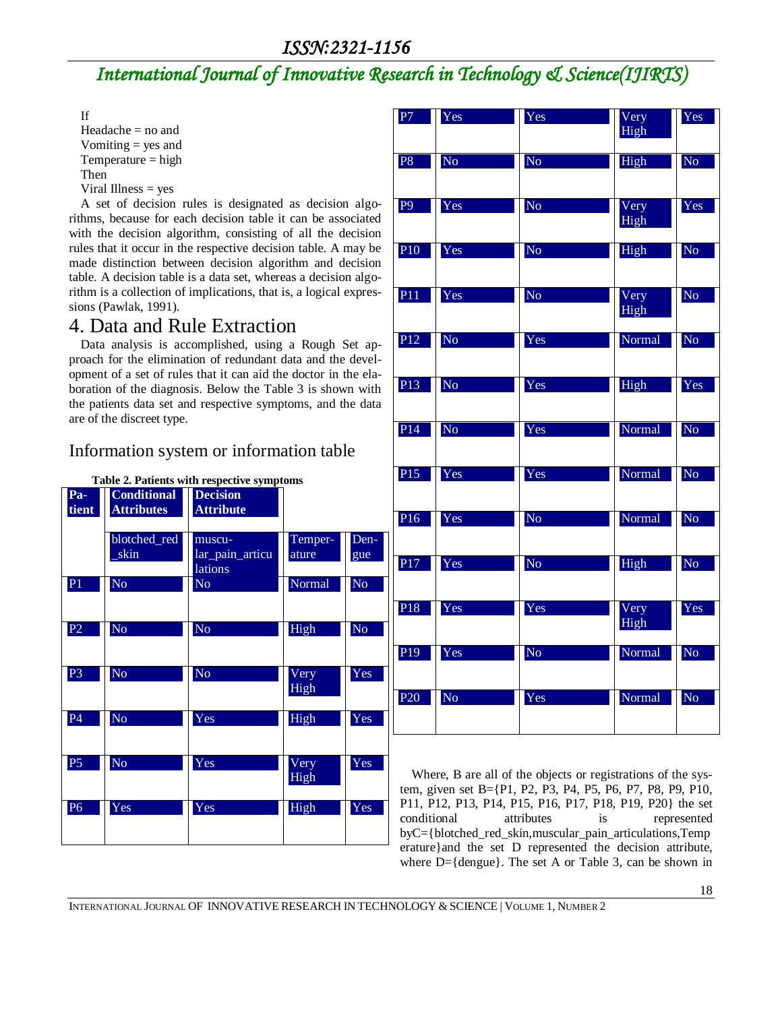# *International Journal of Innovative Research in Technology & Science(IJIRTS)*

If

Headache = no and Vomiting = yes and  $Temperature = high$ Then Viral Illness = yes

A set of decision rules is designated as decision algorithms, because for each decision table it can be associated with the decision algorithm, consisting of all the decision rules that it occur in the respective decision table. A may be made distinction between decision algorithm and decision table. A decision table is a data set, whereas a decision algorithm is a collection of implications, that is, a logical expressions (Pawlak, 1991).

## 4. Data and Rule Extraction

Data analysis is accomplished, using a Rough Set approach for the elimination of redundant data and the development of a set of rules that it can aid the doctor in the elaboration of the diagnosis. Below the Table 3 is shown with the patients data set and respective symptoms, and the data are of the discreet type.

## Information system or information table

| Table 2. Patients with respective symptoms |                                         |                                      |                  |             |
|--------------------------------------------|-----------------------------------------|--------------------------------------|------------------|-------------|
| Pa-<br>tient                               | <b>Conditional</b><br><b>Attributes</b> | <b>Decision</b><br><b>Attribute</b>  |                  |             |
|                                            | blotched_red<br>skin                    | muscu-<br>lar_pain_articu<br>lations | Temper-<br>ature | Den-<br>gue |
| P1                                         | No                                      | N <sub>o</sub>                       | Normal           | No          |
| $\overline{P2}$                            | No                                      | N <sub>o</sub>                       | High             | No          |
| P <sub>3</sub>                             | No                                      | No                                   | Very<br>High     | Yes         |
| P <sub>4</sub>                             | N <sub>o</sub>                          | Yes                                  | High             | Yes         |
| P <sub>5</sub>                             | No                                      | Yes                                  | Very<br>High     | Yes         |
| $\overline{P6}$                            | Yes                                     | Yes                                  | High             | Yes         |

| P7              | Yes            | Yes            | Very<br>High | Yes            |
|-----------------|----------------|----------------|--------------|----------------|
|                 |                |                |              |                |
| P <sub>8</sub>  | N <sub>0</sub> | N <sub>o</sub> | High         | No             |
| P <sub>9</sub>  | Yes            | N <sub>o</sub> | Very<br>High | Yes            |
| P <sub>10</sub> | Yes            | No             | High         | N <sub>o</sub> |
| P11             | Yes            | N <sub>o</sub> | Very<br>High | N <sub>0</sub> |
| P12             | N <sub>o</sub> | Yes            | Normal       | N <sub>o</sub> |
| P13             | N <sub>o</sub> | Yes            | High         | Yes            |
| P14             | No             | Yes            | Normal       | N <sub>o</sub> |
| P15             | Yes            | Yes            | Normal       | N <sub>o</sub> |
| P <sub>16</sub> | Yes            | N <sub>o</sub> | Normal       | N <sub>o</sub> |
| P17             | Yes            | N <sub>o</sub> | High         | No             |
| P18             | Yes            | Yes            | Very<br>High | Yes            |
| P <sub>19</sub> | Yes            | No             | Normal       | N <sub>o</sub> |
| P <sub>20</sub> | N <sub>o</sub> | Yes            | Normal       | N <sub>o</sub> |

Where, B are all of the objects or registrations of the system, given set B={P1, P2, P3, P4, P5, P6, P7, P8, P9, P10, P11, P12, P13, P14, P15, P16, P17, P18, P19, P20} the set conditional attributes is represented byC={blotched\_red\_skin,muscular\_pain\_articulations,Temp erature}and the set D represented the decision attribute, where  $D = \{ \text{dengue} \}$ . The set A or Table 3, can be shown in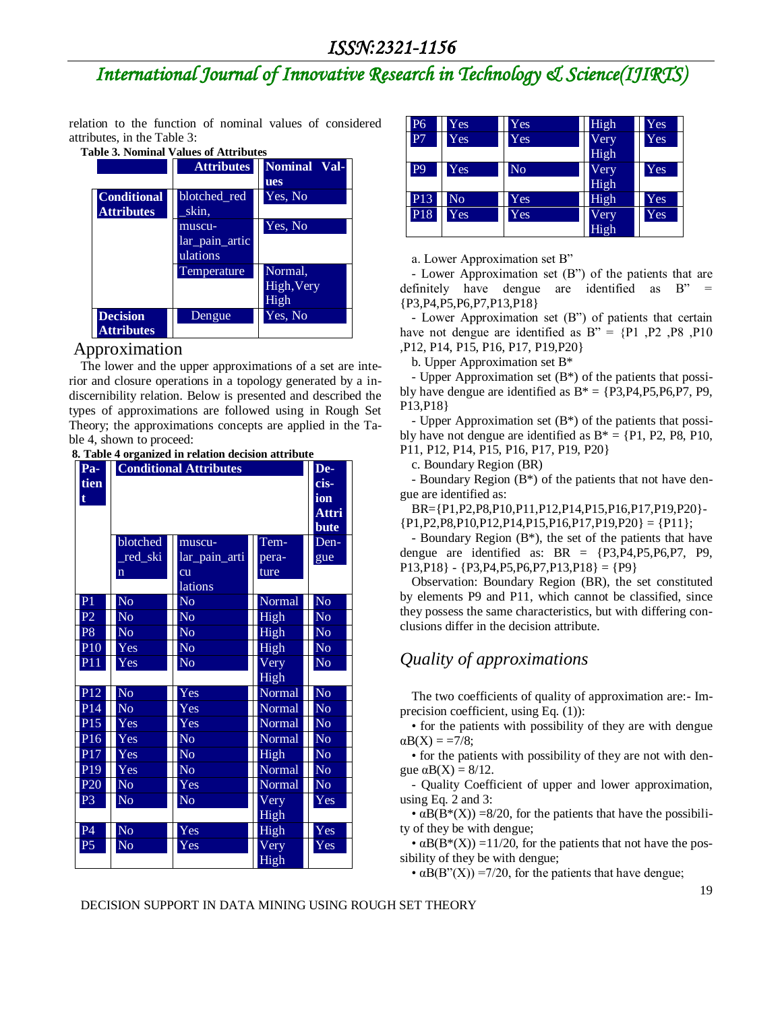# *International Journal of Innovative Research in Technology & Science(IJIRTS)*

relation to the function of nominal values of considered attributes, in the Table 3:



#### Approximation

The lower and the upper approximations of a set are interior and closure operations in a topology generated by a indiscernibility relation. Below is presented and described the types of approximations are followed using in Rough Set Theory; the approximations concepts are applied in the Table 4, shown to proceed:

| $\overline{\mathbf{Pa}}$ - | $\alpha$ gaing $\alpha$ in $\alpha$<br>www.com<br><b>Conditional Attributes</b> |                           |               | De-                     |
|----------------------------|---------------------------------------------------------------------------------|---------------------------|---------------|-------------------------|
| tien                       |                                                                                 |                           |               | cis-                    |
| $\mathbf t$                |                                                                                 |                           |               | ion                     |
|                            |                                                                                 |                           |               | Attri                   |
|                            |                                                                                 |                           |               | <b>bute</b>             |
|                            | blotched                                                                        | muscu-                    | Tem-          | Den-                    |
|                            | red_ski                                                                         | lar_pain_arti             | pera-         | gue                     |
|                            | $\overline{\mathbf{n}}$                                                         | cu                        | ture          |                         |
|                            |                                                                                 | lations                   |               |                         |
| P <sub>1</sub>             | N <sub>o</sub>                                                                  | N <sub>o</sub>            | Normal        | N <sub>o</sub>          |
| P <sub>2</sub>             | N <sub>o</sub>                                                                  | N <sub>o</sub>            | High          | N <sub>o</sub>          |
| P <sub>8</sub>             | N <sub>o</sub>                                                                  | N <sub>o</sub>            | High          | N <sub>o</sub>          |
| P <sub>10</sub>            | Yes                                                                             | N <sub>o</sub>            | High          | N <sub>o</sub>          |
| P11                        | Yes                                                                             | $\overline{\text{No}}$    | Very          | No                      |
|                            |                                                                                 |                           | High          |                         |
| P <sub>12</sub>            | N <sub>o</sub>                                                                  | Yes                       | Normal        | N <sub>o</sub>          |
| P14                        | N <sub>o</sub>                                                                  | Yes                       | <b>Normal</b> | N <sub>o</sub>          |
| P15                        | Yes                                                                             | $\overline{\mathrm{Yes}}$ | <b>Normal</b> | No                      |
| P <sub>16</sub>            | Yes                                                                             | N <sub>o</sub>            | Normal        | N <sub>o</sub>          |
| P17                        | Yes                                                                             | N <sub>o</sub>            | High          | N <sub>o</sub>          |
| P <sub>19</sub>            | $\overline{\mathrm{Yes}}$                                                       | N <sub>o</sub>            | Normal        | N <sub>o</sub>          |
| P <sub>20</sub>            | N <sub>o</sub>                                                                  | Yes                       | Normal        | N <sub>o</sub>          |
| P <sub>3</sub>             | N <sub>o</sub>                                                                  | N <sub>o</sub>            | Very          | Yes                     |
|                            |                                                                                 |                           | High          |                         |
| <b>P4</b>                  | N <sub>o</sub>                                                                  | Yes                       | High          | Yes                     |
| P <sub>5</sub>             | N <sub>o</sub>                                                                  | Yes                       | Very          | $\overline{\text{Yes}}$ |
|                            |                                                                                 |                           | High          |                         |

**8. Table 4 organized in relation decision attribute**

| <b>P6</b>      | Yes            | Yes            | High | Yes |
|----------------|----------------|----------------|------|-----|
| P7             | Yes            | Yes            | Very | Yes |
|                |                |                | High |     |
| P <sub>9</sub> | Yes            | N <sub>o</sub> | Very | Yes |
|                |                |                | High |     |
| P13            | N <sub>o</sub> | Yes            | High | Yes |
| P18            | Yes            | Yes            | Very | Yes |
|                |                |                | High |     |

a. Lower Approximation set B"

- Lower Approximation set (B") of the patients that are definitely have dengue are identified as B" {P3,P4,P5,P6,P7,P13,P18}

- Lower Approximation set (B") of patients that certain have not dengue are identified as  $B'' = \{P1, P2, P8, P10\}$ ,P12, P14, P15, P16, P17, P19,P20}

b. Upper Approximation set B\*

- Upper Approximation set (B\*) of the patients that possibly have dengue are identified as B\* = {P3,P4,P5,P6,P7, P9, P13,P18}

- Upper Approximation set (B\*) of the patients that possibly have not dengue are identified as  $B^* = \{P1, P2, P8, P10, \dots\}$ P11, P12, P14, P15, P16, P17, P19, P20}

c. Boundary Region (BR)

- Boundary Region (B\*) of the patients that not have dengue are identified as:

BR={P1,P2,P8,P10,P11,P12,P14,P15,P16,P17,P19,P20}-  ${P1, P2, P8, P10, P12, P14, P15, P16, P17, P19, P20} = {P11};$ 

- Boundary Region (B\*), the set of the patients that have dengue are identified as: BR = {P3,P4,P5,P6,P7, P9, P13,P18} - {P3,P4,P5,P6,P7,P13,P18} = {P9}

Observation: Boundary Region (BR), the set constituted by elements P9 and P11, which cannot be classified, since they possess the same characteristics, but with differing conclusions differ in the decision attribute.

### *Quality of approximations*

The two coefficients of quality of approximation are:- Imprecision coefficient, using Eq. (1)):

• for the patients with possibility of they are with dengue  $\alpha B(X) = 7/8;$ 

• for the patients with possibility of they are not with dengue  $\alpha B(X) = 8/12$ .

- Quality Coefficient of upper and lower approximation, using Eq. 2 and 3:

•  $\alpha B(B^*(X)) = 8/20$ , for the patients that have the possibility of they be with dengue;

•  $\alpha B(B^*(X)) = 11/20$ , for the patients that not have the possibility of they be with dengue;

•  $\alpha B(B''(X)) = 7/20$ , for the patients that have dengue;

DECISION SUPPORT IN DATA MINING USING ROUGH SET THEORY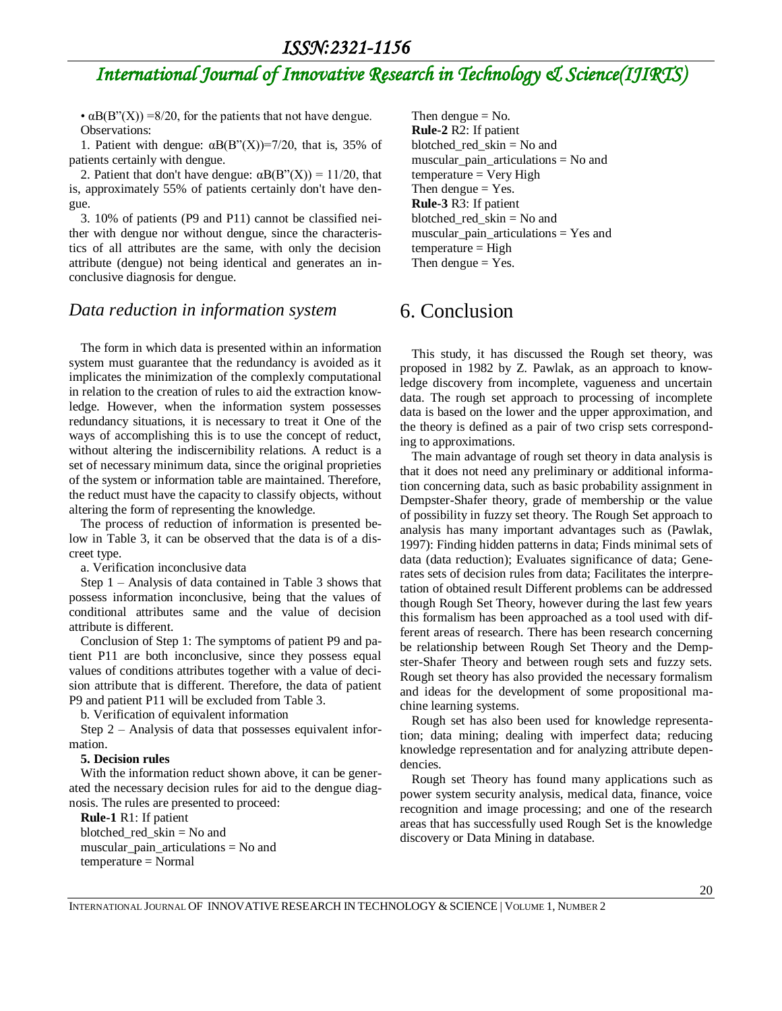# *International Journal of Innovative Research in Technology & Science(IJIRTS)*

•  $\alpha B(B''(X)) = 8/20$ , for the patients that not have dengue. Observations:

1. Patient with dengue:  $\alpha B(B''(X))=7/20$ , that is, 35% of patients certainly with dengue.

2. Patient that don't have dengue:  $\alpha B(B^{\prime\prime}(X)) = 11/20$ , that is, approximately 55% of patients certainly don't have dengue.

3. 10% of patients (P9 and P11) cannot be classified neither with dengue nor without dengue, since the characteristics of all attributes are the same, with only the decision attribute (dengue) not being identical and generates an inconclusive diagnosis for dengue.

### *Data reduction in information system*

The form in which data is presented within an information system must guarantee that the redundancy is avoided as it implicates the minimization of the complexly computational in relation to the creation of rules to aid the extraction knowledge. However, when the information system possesses redundancy situations, it is necessary to treat it One of the ways of accomplishing this is to use the concept of reduct, without altering the indiscernibility relations. A reduct is a set of necessary minimum data, since the original proprieties of the system or information table are maintained. Therefore, the reduct must have the capacity to classify objects, without altering the form of representing the knowledge.

The process of reduction of information is presented below in Table 3, it can be observed that the data is of a discreet type.

a. Verification inconclusive data

Step 1 – Analysis of data contained in Table 3 shows that possess information inconclusive, being that the values of conditional attributes same and the value of decision attribute is different.

Conclusion of Step 1: The symptoms of patient P9 and patient P11 are both inconclusive, since they possess equal values of conditions attributes together with a value of decision attribute that is different. Therefore, the data of patient P9 and patient P11 will be excluded from Table 3.

b. Verification of equivalent information

Step 2 – Analysis of data that possesses equivalent information.

#### **5. Decision rules**

With the information reduct shown above, it can be generated the necessary decision rules for aid to the dengue diagnosis. The rules are presented to proceed:

**Rule-1** R1: If patient blotched\_red\_skin = No and muscular\_pain\_articulations = No and temperature = Normal

Then dengue  $=$  No. **Rule-2** R2: If patient blotched\_red\_skin = No and muscular\_pain\_articulations = No and  $temperature = Very High$ Then dengue  $=$  Yes. **Rule-3** R3: If patient blotched\_red\_skin = No and muscular\_pain\_articulations = Yes and  $temperature = High$ Then dengue  $=$  Yes.

## 6. Conclusion

This study, it has discussed the Rough set theory, was proposed in 1982 by Z. Pawlak, as an approach to knowledge discovery from incomplete, vagueness and uncertain data. The rough set approach to processing of incomplete data is based on the lower and the upper approximation, and the theory is defined as a pair of two crisp sets corresponding to approximations.

The main advantage of rough set theory in data analysis is that it does not need any preliminary or additional information concerning data, such as basic probability assignment in Dempster-Shafer theory, grade of membership or the value of possibility in fuzzy set theory. The Rough Set approach to analysis has many important advantages such as (Pawlak, 1997): Finding hidden patterns in data; Finds minimal sets of data (data reduction); Evaluates significance of data; Generates sets of decision rules from data; Facilitates the interpretation of obtained result Different problems can be addressed though Rough Set Theory, however during the last few years this formalism has been approached as a tool used with different areas of research. There has been research concerning be relationship between Rough Set Theory and the Dempster-Shafer Theory and between rough sets and fuzzy sets. Rough set theory has also provided the necessary formalism and ideas for the development of some propositional machine learning systems.

Rough set has also been used for knowledge representation; data mining; dealing with imperfect data; reducing knowledge representation and for analyzing attribute dependencies.

Rough set Theory has found many applications such as power system security analysis, medical data, finance, voice recognition and image processing; and one of the research areas that has successfully used Rough Set is the knowledge discovery or Data Mining in database.